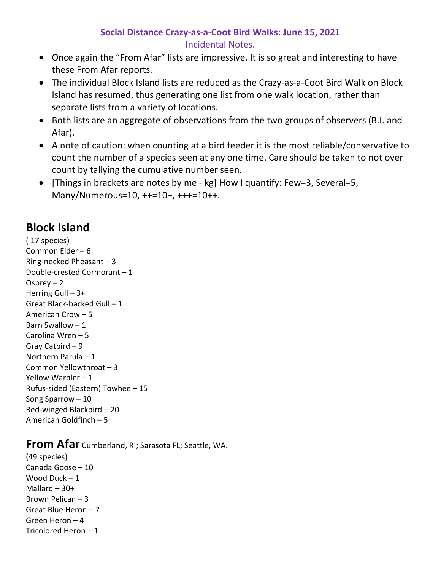## **Social Distance Crazy-as-a-Coot Bird Walks: June 15, 2021**

Incidental Notes.

- Once again the "From Afar" lists are impressive. It is so great and interesting to have these From Afar reports.
- The individual Block Island lists are reduced as the Crazy-as-a-Coot Bird Walk on Block Island has resumed, thus generating one list from one walk location, rather than separate lists from a variety of locations.
- Both lists are an aggregate of observations from the two groups of observers (B.I. and Afar).
- A note of caution: when counting at a bird feeder it is the most reliable/conservative to count the number of a species seen at any one time. Care should be taken to not over count by tallying the cumulative number seen.
- [Things in brackets are notes by me kg] How I quantify: Few=3, Several=5, Many/Numerous=10, ++=10+, +++=10++.

## **Block Island**

( 17 species) Common Eider – 6 Ring-necked Pheasant – 3 Double-crested Cormorant – 1 Osprey  $-2$ Herring Gull – 3+ Great Black-backed Gull – 1 American Crow – 5 Barn Swallow  $-1$ Carolina Wren – 5 Gray Catbird – 9 Northern Parula – 1 Common Yellowthroat – 3 Yellow Warbler – 1 Rufus-sided (Eastern) Towhee – 15 Song Sparrow – 10 Red-winged Blackbird – 20 American Goldfinch – 5

## **From Afar** Cumberland, RI; Sarasota FL; Seattle, WA.

(49 species) Canada Goose – 10 Wood Duck – 1 Mallard  $-30+$ Brown Pelican – 3 Great Blue Heron – 7 Green Heron – 4 Tricolored Heron – 1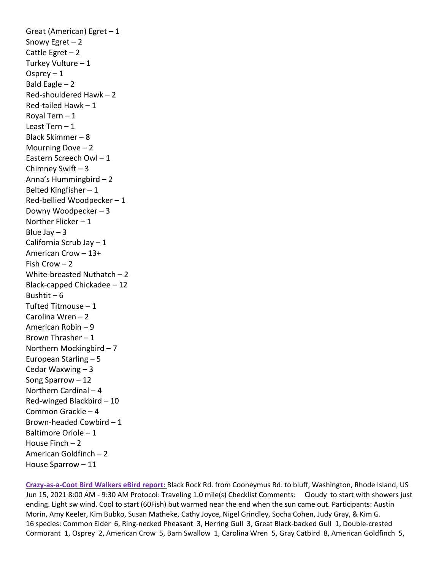Great (American) Egret – 1 Snowy Egret  $-2$ Cattle Egret  $-2$ Turkey Vulture – 1 Osprey  $-1$ Bald Eagle  $-2$ Red-shouldered Hawk – 2 Red-tailed Hawk – 1 Royal Tern – 1 Least Tern – 1 Black Skimmer – 8 Mourning Dove – 2 Eastern Screech Owl – 1 Chimney Swift – 3 Anna's Hummingbird – 2 Belted Kingfisher – 1 Red-bellied Woodpecker – 1 Downy Woodpecker – 3 Norther Flicker – 1 Blue Jay  $-3$ California Scrub Jay – 1 American Crow – 13+ Fish Crow – 2 White-breasted Nuthatch – 2 Black-capped Chickadee – 12 Bushtit –  $6$ Tufted Titmouse – 1 Carolina Wren – 2 American Robin – 9 Brown Thrasher – 1 Northern Mockingbird – 7 European Starling – 5 Cedar Waxwing – 3 Song Sparrow – 12 Northern Cardinal – 4 Red-winged Blackbird – 10 Common Grackle – 4 Brown-headed Cowbird – 1 Baltimore Oriole – 1 House Finch  $-2$ American Goldfinch – 2 House Sparrow – 11

**Crazy-as-a-Coot Bird Walkers eBird report:** Black Rock Rd. from Cooneymus Rd. to bluff, Washington, Rhode Island, US Jun 15, 2021 8:00 AM - 9:30 AM Protocol: Traveling 1.0 mile(s) Checklist Comments: Cloudy to start with showers just ending. Light sw wind. Cool to start (60Fish) but warmed near the end when the sun came out. Participants: Austin Morin, Amy Keeler, Kim Bubko, Susan Matheke, Cathy Joyce, Nigel Grindley, Socha Cohen, Judy Gray, & Kim G. 16 species: Common Eider 6, Ring-necked Pheasant 3, Herring Gull 3, Great Black-backed Gull 1, Double-crested Cormorant 1, Osprey 2, American Crow 5, Barn Swallow 1, Carolina Wren 5, Gray Catbird 8, American Goldfinch 5,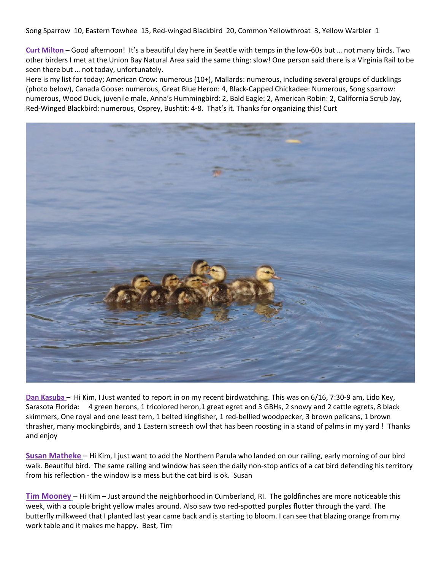Song Sparrow 10, Eastern Towhee 15, Red-winged Blackbird 20, Common Yellowthroat 3, Yellow Warbler 1

**Curt Milton** – Good afternoon! It's a beautiful day here in Seattle with temps in the low-60s but … not many birds. Two other birders I met at the Union Bay Natural Area said the same thing: slow! One person said there is a Virginia Rail to be seen there but … not today, unfortunately.

Here is my list for today; American Crow: numerous (10+), Mallards: numerous, including several groups of ducklings (photo below), Canada Goose: numerous, Great Blue Heron: 4, Black-Capped Chickadee: Numerous, Song sparrow: numerous, Wood Duck, juvenile male, Anna's Hummingbird: 2, Bald Eagle: 2, American Robin: 2, California Scrub Jay, Red-Winged Blackbird: numerous, Osprey, Bushtit: 4-8. That's it. Thanks for organizing this! Curt



**Dan Kasuba** – Hi Kim, I Just wanted to report in on my recent birdwatching. This was on 6/16, 7:30-9 am, Lido Key, Sarasota Florida: 4 green herons, 1 tricolored heron, 1 great egret and 3 GBHs, 2 snowy and 2 cattle egrets, 8 black skimmers, One royal and one least tern, 1 belted kingfisher, 1 red-bellied woodpecker, 3 brown pelicans, 1 brown thrasher, many mockingbirds, and 1 Eastern screech owl that has been roosting in a stand of palms in my yard ! Thanks and enjoy

**Susan Matheke** – Hi Kim, I just want to add the Northern Parula who landed on our railing, early morning of our bird walk. Beautiful bird. The same railing and window has seen the daily non-stop antics of a cat bird defending his territory from his reflection - the window is a mess but the cat bird is ok. Susan

**Tim Mooney** – Hi Kim – Just around the neighborhood in Cumberland, RI. The goldfinches are more noticeable this week, with a couple bright yellow males around. Also saw two red-spotted purples flutter through the yard. The butterfly milkweed that I planted last year came back and is starting to bloom. I can see that blazing orange from my work table and it makes me happy. Best, Tim